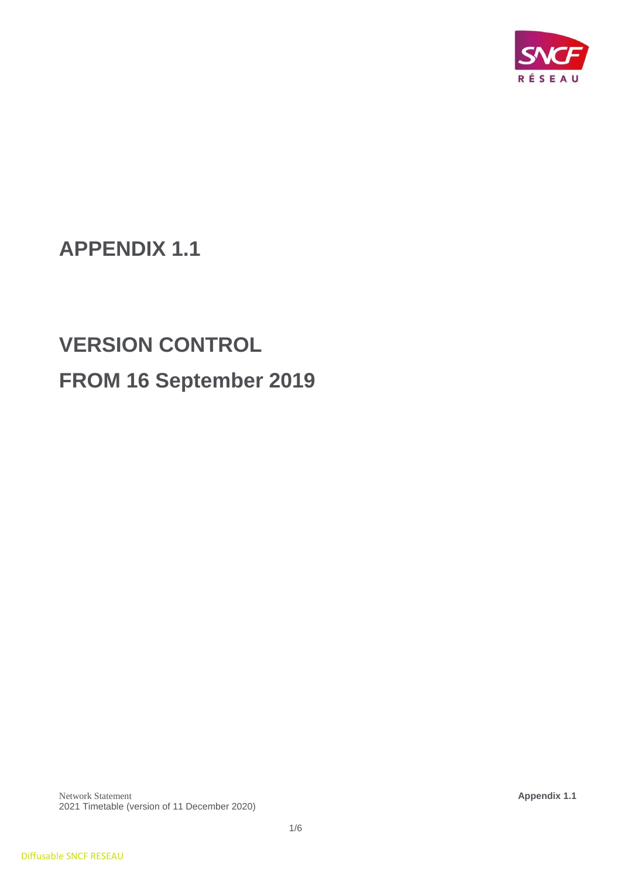

# **APPENDIX 1.1**

# **VERSION CONTROL FROM 16 September 2019**

Network Statement **Appendix 1.1** 2021 Timetable (version of 11 December 2020)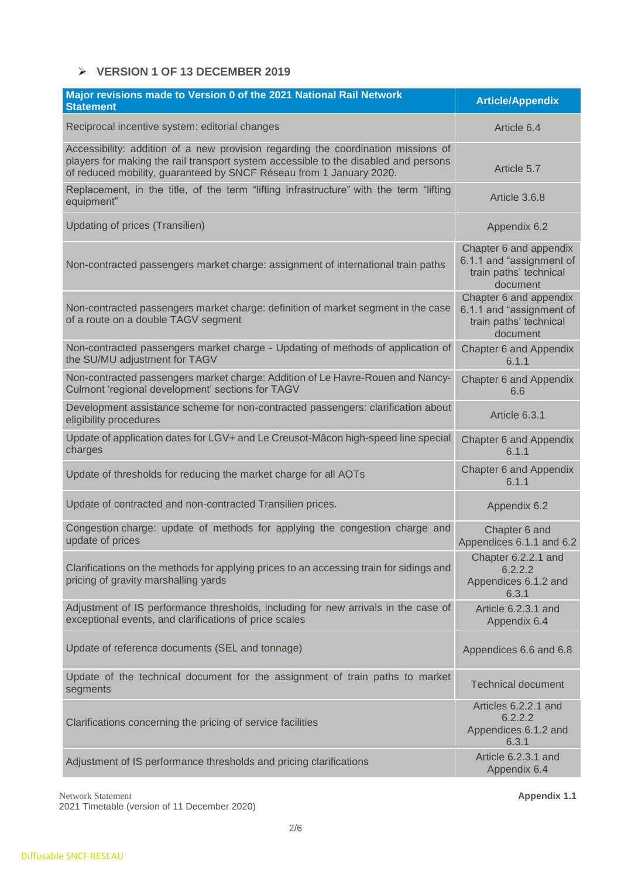#### ➢ **VERSION 1 OF 13 DECEMBER 2019**

| Major revisions made to Version 0 of the 2021 National Rail Network<br><b>Statement</b>                                                                                                                                                         | <b>Article/Appendix</b>                                                                  |
|-------------------------------------------------------------------------------------------------------------------------------------------------------------------------------------------------------------------------------------------------|------------------------------------------------------------------------------------------|
| Reciprocal incentive system: editorial changes                                                                                                                                                                                                  | Article 6.4                                                                              |
| Accessibility: addition of a new provision regarding the coordination missions of<br>players for making the rail transport system accessible to the disabled and persons<br>of reduced mobility, guaranteed by SNCF Réseau from 1 January 2020. | Article 5.7                                                                              |
| Replacement, in the title, of the term "lifting infrastructure" with the term "lifting<br>equipment"                                                                                                                                            | Article 3.6.8                                                                            |
| Updating of prices (Transilien)                                                                                                                                                                                                                 | Appendix 6.2                                                                             |
| Non-contracted passengers market charge: assignment of international train paths                                                                                                                                                                | Chapter 6 and appendix<br>6.1.1 and "assignment of<br>train paths' technical<br>document |
| Non-contracted passengers market charge: definition of market segment in the case<br>of a route on a double TAGV segment                                                                                                                        | Chapter 6 and appendix<br>6.1.1 and "assignment of<br>train paths' technical<br>document |
| Non-contracted passengers market charge - Updating of methods of application of<br>the SU/MU adjustment for TAGV                                                                                                                                | <b>Chapter 6 and Appendix</b><br>6.1.1                                                   |
| Non-contracted passengers market charge: Addition of Le Havre-Rouen and Nancy-<br>Culmont 'regional development' sections for TAGV                                                                                                              | Chapter 6 and Appendix<br>6.6                                                            |
| Development assistance scheme for non-contracted passengers: clarification about<br>eligibility procedures                                                                                                                                      | Article 6.3.1                                                                            |
| Update of application dates for LGV+ and Le Creusot-Mâcon high-speed line special<br>charges                                                                                                                                                    | Chapter 6 and Appendix<br>6.1.1                                                          |
| Update of thresholds for reducing the market charge for all AOTs                                                                                                                                                                                | Chapter 6 and Appendix<br>6.1.1                                                          |
| Update of contracted and non-contracted Transilien prices.                                                                                                                                                                                      | Appendix 6.2                                                                             |
| Congestion charge: update of methods for applying the congestion charge and<br>update of prices                                                                                                                                                 | Chapter 6 and<br>Appendices 6.1.1 and 6.2                                                |
| Clarifications on the methods for applying prices to an accessing train for sidings and<br>pricing of gravity marshalling yards                                                                                                                 | Chapter 6.2.2.1 and<br>6.2.2.2<br>Appendices 6.1.2 and<br>6.3.1                          |
| Adjustment of IS performance thresholds, including for new arrivals in the case of<br>exceptional events, and clarifications of price scales                                                                                                    | Article 6.2.3.1 and<br>Appendix 6.4                                                      |
| Update of reference documents (SEL and tonnage)                                                                                                                                                                                                 | Appendices 6.6 and 6.8                                                                   |
| Update of the technical document for the assignment of train paths to market<br>segments                                                                                                                                                        | <b>Technical document</b>                                                                |
| Clarifications concerning the pricing of service facilities                                                                                                                                                                                     | Articles 6.2.2.1 and<br>6.2.2.2<br>Appendices 6.1.2 and<br>6.3.1                         |
| Adjustment of IS performance thresholds and pricing clarifications                                                                                                                                                                              | Article 6.2.3.1 and<br>Appendix 6.4                                                      |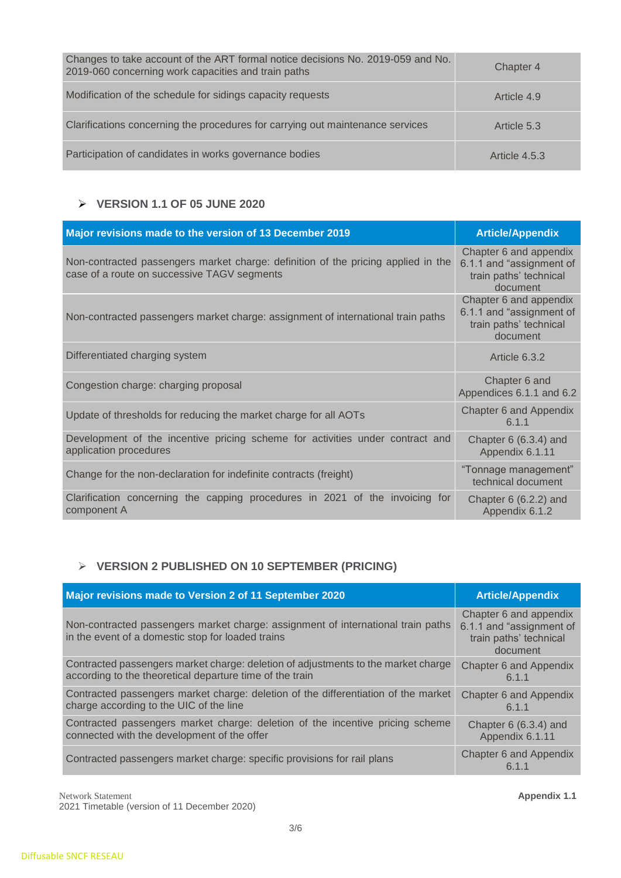| Changes to take account of the ART formal notice decisions No. 2019-059 and No.<br>2019-060 concerning work capacities and train paths | Chapter 4     |
|----------------------------------------------------------------------------------------------------------------------------------------|---------------|
| Modification of the schedule for sidings capacity requests                                                                             | Article 4.9   |
| Clarifications concerning the procedures for carrying out maintenance services                                                         | Article 5.3   |
| Participation of candidates in works governance bodies                                                                                 | Article 4.5.3 |

## ➢ **VERSION 1.1 OF 05 JUNE 2020**

| Major revisions made to the version of 13 December 2019                                                                          | <b>Article/Appendix</b>                                                                  |
|----------------------------------------------------------------------------------------------------------------------------------|------------------------------------------------------------------------------------------|
| Non-contracted passengers market charge: definition of the pricing applied in the<br>case of a route on successive TAGV segments | Chapter 6 and appendix<br>6.1.1 and "assignment of<br>train paths' technical<br>document |
| Non-contracted passengers market charge: assignment of international train paths                                                 | Chapter 6 and appendix<br>6.1.1 and "assignment of<br>train paths' technical<br>document |
| Differentiated charging system                                                                                                   | Article 6.3.2                                                                            |
| Congestion charge: charging proposal                                                                                             | Chapter 6 and<br>Appendices 6.1.1 and 6.2                                                |
| Update of thresholds for reducing the market charge for all AOTs                                                                 | Chapter 6 and Appendix<br>6.1.1                                                          |
| Development of the incentive pricing scheme for activities under contract and<br>application procedures                          | Chapter $6(6.3.4)$ and<br>Appendix 6.1.11                                                |
| Change for the non-declaration for indefinite contracts (freight)                                                                | "Tonnage management"<br>technical document                                               |
| Clarification concerning the capping procedures in 2021 of the invoicing for<br>component A                                      | Chapter $6(6.2.2)$ and<br>Appendix 6.1.2                                                 |

# ➢ **VERSION 2 PUBLISHED ON 10 SEPTEMBER (PRICING)**

| Major revisions made to Version 2 of 11 September 2020                                                                                | <b>Article/Appendix</b>                                                                  |
|---------------------------------------------------------------------------------------------------------------------------------------|------------------------------------------------------------------------------------------|
| Non-contracted passengers market charge: assignment of international train paths<br>in the event of a domestic stop for loaded trains | Chapter 6 and appendix<br>6.1.1 and "assignment of<br>train paths' technical<br>document |
| Contracted passengers market charge: deletion of adjustments to the market charge                                                     | <b>Chapter 6 and Appendix</b>                                                            |
| according to the theoretical departure time of the train                                                                              | 6.1.1                                                                                    |
| Contracted passengers market charge: deletion of the differentiation of the market                                                    | <b>Chapter 6 and Appendix</b>                                                            |
| charge according to the UIC of the line                                                                                               | 6.1.1                                                                                    |
| Contracted passengers market charge: deletion of the incentive pricing scheme                                                         | Chapter $6(6.3.4)$ and                                                                   |
| connected with the development of the offer                                                                                           | Appendix 6.1.11                                                                          |
| Contracted passengers market charge: specific provisions for rail plans                                                               | Chapter 6 and Appendix<br>ჩ 1 1                                                          |

Network Statement **Appendix 1.1** 

2021 Timetable (version of 11 December 2020)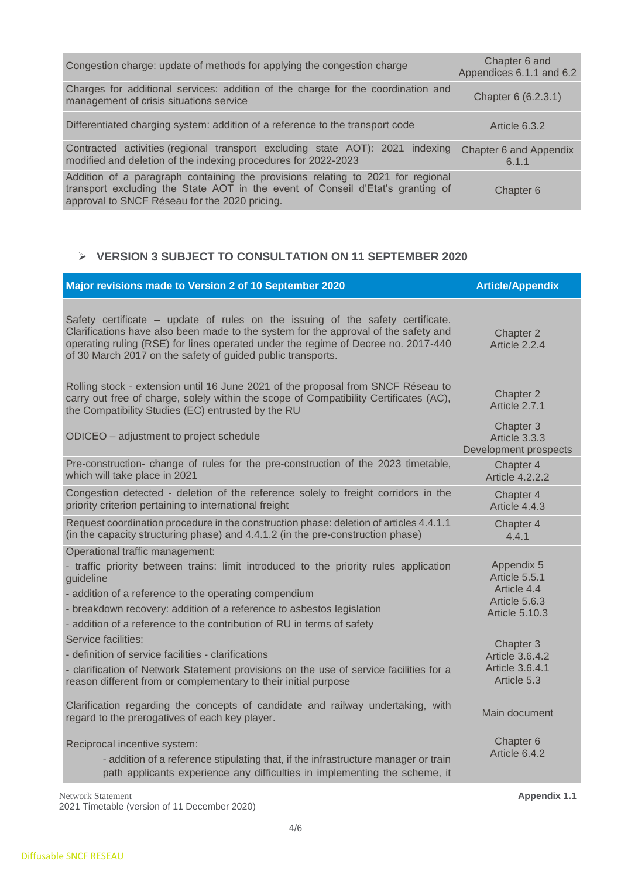| Congestion charge: update of methods for applying the congestion charge                                                                                                                                            | Chapter 6 and<br>Appendices 6.1.1 and 6.2 |
|--------------------------------------------------------------------------------------------------------------------------------------------------------------------------------------------------------------------|-------------------------------------------|
| Charges for additional services: addition of the charge for the coordination and<br>management of crisis situations service                                                                                        | Chapter 6 (6.2.3.1)                       |
| Differentiated charging system: addition of a reference to the transport code                                                                                                                                      | Article 6.3.2                             |
| Contracted activities (regional transport excluding state AOT): 2021 indexing<br>modified and deletion of the indexing procedures for 2022-2023                                                                    | <b>Chapter 6 and Appendix</b><br>6.1.1    |
| Addition of a paragraph containing the provisions relating to 2021 for regional<br>transport excluding the State AOT in the event of Conseil d'Etat's granting of<br>approval to SNCF Réseau for the 2020 pricing. | Chapter 6                                 |

### ➢ **VERSION 3 SUBJECT TO CONSULTATION ON 11 SEPTEMBER 2020**

| Major revisions made to Version 2 of 10 September 2020                                                                                                                                                                                                                                                                                            | <b>Article/Appendix</b>                                                              |
|---------------------------------------------------------------------------------------------------------------------------------------------------------------------------------------------------------------------------------------------------------------------------------------------------------------------------------------------------|--------------------------------------------------------------------------------------|
| Safety certificate – update of rules on the issuing of the safety certificate.<br>Clarifications have also been made to the system for the approval of the safety and<br>operating ruling (RSE) for lines operated under the regime of Decree no. 2017-440<br>of 30 March 2017 on the safety of guided public transports.                         | Chapter 2<br>Article 2.2.4                                                           |
| Rolling stock - extension until 16 June 2021 of the proposal from SNCF Réseau to<br>carry out free of charge, solely within the scope of Compatibility Certificates (AC),<br>the Compatibility Studies (EC) entrusted by the RU                                                                                                                   | Chapter 2<br>Article 2.7.1                                                           |
| ODICEO – adjustment to project schedule                                                                                                                                                                                                                                                                                                           | Chapter 3<br>Article 3.3.3<br>Development prospects                                  |
| Pre-construction- change of rules for the pre-construction of the 2023 timetable,<br>which will take place in 2021                                                                                                                                                                                                                                | Chapter 4<br><b>Article 4.2.2.2</b>                                                  |
| Congestion detected - deletion of the reference solely to freight corridors in the<br>priority criterion pertaining to international freight                                                                                                                                                                                                      | Chapter 4<br>Article 4.4.3                                                           |
| Request coordination procedure in the construction phase: deletion of articles 4.4.1.1<br>(in the capacity structuring phase) and 4.4.1.2 (in the pre-construction phase)                                                                                                                                                                         | Chapter 4<br>4.4.1                                                                   |
| Operational traffic management:<br>- traffic priority between trains: limit introduced to the priority rules application<br>guideline<br>- addition of a reference to the operating compendium<br>- breakdown recovery: addition of a reference to asbestos legislation<br>- addition of a reference to the contribution of RU in terms of safety | Appendix 5<br>Article 5.5.1<br>Article 4.4<br>Article 5.6.3<br><b>Article 5.10.3</b> |
| Service facilities:<br>- definition of service facilities - clarifications<br>- clarification of Network Statement provisions on the use of service facilities for a<br>reason different from or complementary to their initial purpose                                                                                                           | Chapter 3<br><b>Article 3.6.4.2</b><br>Article 3.6.4.1<br>Article 5.3                |
| Clarification regarding the concepts of candidate and railway undertaking, with<br>regard to the prerogatives of each key player.                                                                                                                                                                                                                 | Main document                                                                        |
| Reciprocal incentive system:<br>- addition of a reference stipulating that, if the infrastructure manager or train<br>path applicants experience any difficulties in implementing the scheme, it                                                                                                                                                  | Chapter 6<br>Article 6.4.2                                                           |

Network Statement **Appendix 1.1** 2021 Timetable (version of 11 December 2020)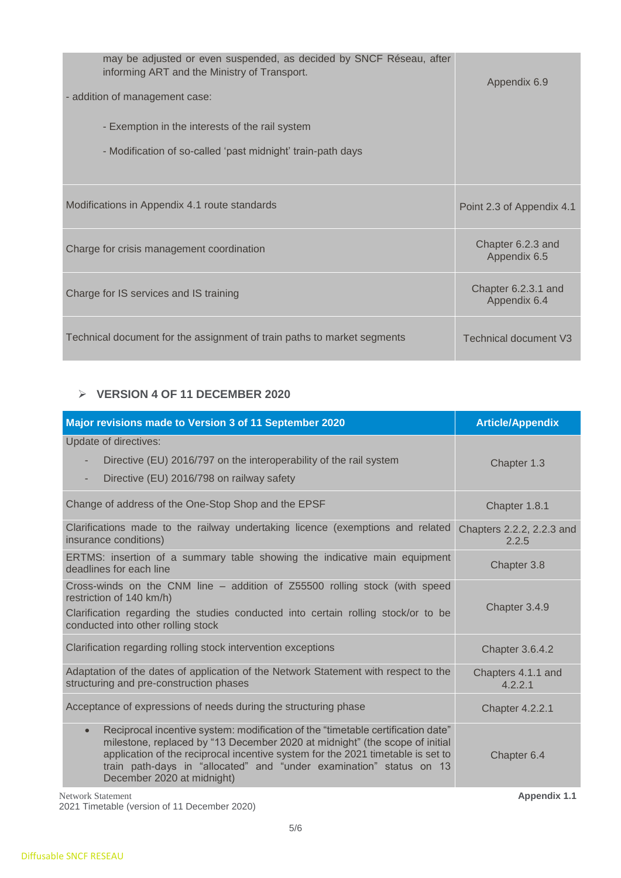| may be adjusted or even suspended, as decided by SNCF Réseau, after<br>informing ART and the Ministry of Transport.<br>- addition of management case:<br>- Exemption in the interests of the rail system<br>- Modification of so-called 'past midnight' train-path days | Appendix 6.9                        |
|-------------------------------------------------------------------------------------------------------------------------------------------------------------------------------------------------------------------------------------------------------------------------|-------------------------------------|
| Modifications in Appendix 4.1 route standards                                                                                                                                                                                                                           | Point 2.3 of Appendix 4.1           |
| Charge for crisis management coordination                                                                                                                                                                                                                               | Chapter 6.2.3 and<br>Appendix 6.5   |
| Charge for IS services and IS training                                                                                                                                                                                                                                  | Chapter 6.2.3.1 and<br>Appendix 6.4 |
| Technical document for the assignment of train paths to market segments                                                                                                                                                                                                 | <b>Technical document V3</b>        |

### ➢ **VERSION 4 OF 11 DECEMBER 2020**

| Major revisions made to Version 3 of 11 September 2020                                                                                                                                                                                                                                                                                                              | <b>Article/Appendix</b>            |
|---------------------------------------------------------------------------------------------------------------------------------------------------------------------------------------------------------------------------------------------------------------------------------------------------------------------------------------------------------------------|------------------------------------|
| Update of directives:<br>Directive (EU) 2016/797 on the interoperability of the rail system<br>$\overline{\phantom{m}}$<br>Directive (EU) 2016/798 on railway safety<br>$\overline{\phantom{m}}$                                                                                                                                                                    | Chapter 1.3                        |
| Change of address of the One-Stop Shop and the EPSF                                                                                                                                                                                                                                                                                                                 | Chapter 1.8.1                      |
| Clarifications made to the railway undertaking licence (exemptions and related<br>insurance conditions)                                                                                                                                                                                                                                                             | Chapters 2.2.2, 2.2.3 and<br>2.2.5 |
| ERTMS: insertion of a summary table showing the indicative main equipment<br>deadlines for each line                                                                                                                                                                                                                                                                | Chapter 3.8                        |
| Cross-winds on the CNM line - addition of Z55500 rolling stock (with speed<br>restriction of 140 km/h)<br>Clarification regarding the studies conducted into certain rolling stock/or to be<br>conducted into other rolling stock                                                                                                                                   | Chapter 3.4.9                      |
| Clarification regarding rolling stock intervention exceptions                                                                                                                                                                                                                                                                                                       | <b>Chapter 3.6.4.2</b>             |
| Adaptation of the dates of application of the Network Statement with respect to the<br>structuring and pre-construction phases                                                                                                                                                                                                                                      | Chapters 4.1.1 and<br>4.2.2.1      |
| Acceptance of expressions of needs during the structuring phase                                                                                                                                                                                                                                                                                                     | <b>Chapter 4.2.2.1</b>             |
| Reciprocal incentive system: modification of the "timetable certification date"<br>$\bullet$<br>milestone, replaced by "13 December 2020 at midnight" (the scope of initial<br>application of the reciprocal incentive system for the 2021 timetable is set to<br>train path-days in "allocated" and "under examination" status on 13<br>December 2020 at midnight) | Chapter 6.4                        |

Network Statement **Appendix 1.1** 2021 Timetable (version of 11 December 2020)